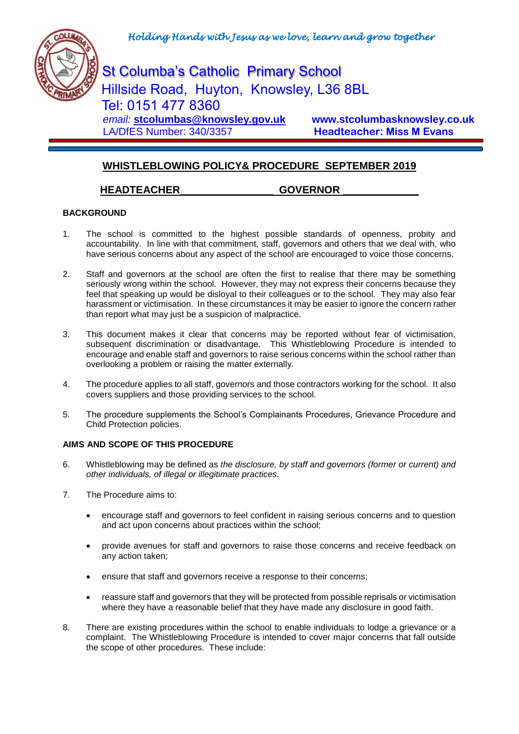

St Columba's Catholic Primary School Hillside Road, Huyton, Knowsley, L36 8BL Tel: 0151 477 8360  *email:* **[stcolumbas@knowsley.gov.uk](mailto:stcolumbas@knowsley.gov.uk) www.stcolumbasknowsley.co.uk LA/DfES Number: 340/3357 Headteacher: Miss M Evans** 

# **WHISTLEBLOWING POLICY& PROCEDURE SEPTEMBER 2019**

# **HEADTEACHER\_\_\_\_\_\_\_\_\_\_\_\_\_\_\_\_ GOVERNOR \_\_\_\_\_\_\_\_\_\_\_\_\_**

## **BACKGROUND**

- 1. The school is committed to the highest possible standards of openness, probity and accountability. In line with that commitment, staff, governors and others that we deal with, who have serious concerns about any aspect of the school are encouraged to voice those concerns.
- 2. Staff and governors at the school are often the first to realise that there may be something seriously wrong within the school. However, they may not express their concerns because they feel that speaking up would be disloyal to their colleagues or to the school. They may also fear harassment or victimisation. In these circumstances it may be easier to ignore the concern rather than report what may just be a suspicion of malpractice.
- 3. This document makes it clear that concerns may be reported without fear of victimisation, subsequent discrimination or disadvantage. This Whistleblowing Procedure is intended to encourage and enable staff and governors to raise serious concerns within the school rather than overlooking a problem or raising the matter externally.
- 4. The procedure applies to all staff, governors and those contractors working for the school. It also covers suppliers and those providing services to the school.
- 5. The procedure supplements the School's Complainants Procedures, Grievance Procedure and Child Protection policies.

## **AIMS AND SCOPE OF THIS PROCEDURE**

- 6. Whistleblowing may be defined as *the disclosure, by staff and governors (former or current) and other individuals, of illegal or illegitimate practices.*
- 7. The Procedure aims to:
	- encourage staff and governors to feel confident in raising serious concerns and to question and act upon concerns about practices within the school;
	- provide avenues for staff and governors to raise those concerns and receive feedback on any action taken;
	- ensure that staff and governors receive a response to their concerns;
	- reassure staff and governors that they will be protected from possible reprisals or victimisation where they have a reasonable belief that they have made any disclosure in good faith.
- 8. There are existing procedures within the school to enable individuals to lodge a grievance or a complaint. The Whistleblowing Procedure is intended to cover major concerns that fall outside the scope of other procedures. These include: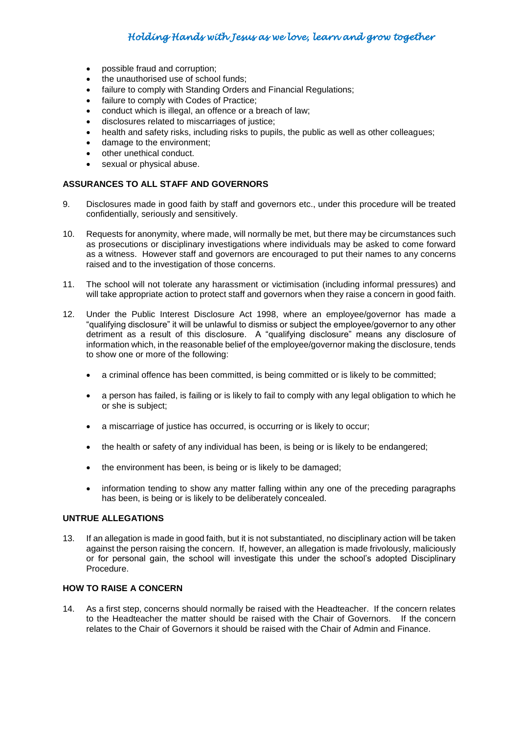# *Holding Hands with Jesus as we love, learn and grow together*

- possible fraud and corruption;
- the unauthorised use of school funds;
- failure to comply with Standing Orders and Financial Regulations;
- failure to comply with Codes of Practice;
- conduct which is illegal, an offence or a breach of law;
- disclosures related to miscarriages of justice;
- health and safety risks, including risks to pupils, the public as well as other colleagues;
- damage to the environment;
- other unethical conduct.
- sexual or physical abuse.

#### **ASSURANCES TO ALL STAFF AND GOVERNORS**

- 9. Disclosures made in good faith by staff and governors etc., under this procedure will be treated confidentially, seriously and sensitively.
- 10. Requests for anonymity, where made, will normally be met, but there may be circumstances such as prosecutions or disciplinary investigations where individuals may be asked to come forward as a witness. However staff and governors are encouraged to put their names to any concerns raised and to the investigation of those concerns.
- 11. The school will not tolerate any harassment or victimisation (including informal pressures) and will take appropriate action to protect staff and governors when they raise a concern in good faith.
- 12. Under the Public Interest Disclosure Act 1998, where an employee/governor has made a "qualifying disclosure" it will be unlawful to dismiss or subject the employee/governor to any other detriment as a result of this disclosure. A "qualifying disclosure" means any disclosure of information which, in the reasonable belief of the employee/governor making the disclosure, tends to show one or more of the following:
	- a criminal offence has been committed, is being committed or is likely to be committed;
	- a person has failed, is failing or is likely to fail to comply with any legal obligation to which he or she is subject;
	- a miscarriage of justice has occurred, is occurring or is likely to occur;
	- the health or safety of any individual has been, is being or is likely to be endangered;
	- the environment has been, is being or is likely to be damaged;
	- information tending to show any matter falling within any one of the preceding paragraphs has been, is being or is likely to be deliberately concealed.

#### **UNTRUE ALLEGATIONS**

13. If an allegation is made in good faith, but it is not substantiated, no disciplinary action will be taken against the person raising the concern. If, however, an allegation is made frivolously, maliciously or for personal gain, the school will investigate this under the school's adopted Disciplinary Procedure.

## **HOW TO RAISE A CONCERN**

14. As a first step, concerns should normally be raised with the Headteacher. If the concern relates to the Headteacher the matter should be raised with the Chair of Governors. If the concern relates to the Chair of Governors it should be raised with the Chair of Admin and Finance.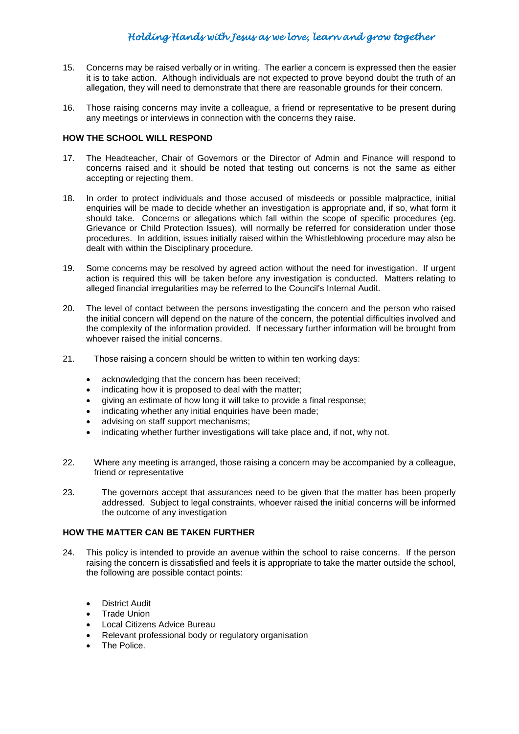- 15. Concerns may be raised verbally or in writing. The earlier a concern is expressed then the easier it is to take action. Although individuals are not expected to prove beyond doubt the truth of an allegation, they will need to demonstrate that there are reasonable grounds for their concern.
- 16. Those raising concerns may invite a colleague, a friend or representative to be present during any meetings or interviews in connection with the concerns they raise.

### **HOW THE SCHOOL WILL RESPOND**

- 17. The Headteacher, Chair of Governors or the Director of Admin and Finance will respond to concerns raised and it should be noted that testing out concerns is not the same as either accepting or rejecting them.
- 18. In order to protect individuals and those accused of misdeeds or possible malpractice, initial enquiries will be made to decide whether an investigation is appropriate and, if so, what form it should take. Concerns or allegations which fall within the scope of specific procedures (eg. Grievance or Child Protection Issues), will normally be referred for consideration under those procedures. In addition, issues initially raised within the Whistleblowing procedure may also be dealt with within the Disciplinary procedure.
- 19. Some concerns may be resolved by agreed action without the need for investigation. If urgent action is required this will be taken before any investigation is conducted. Matters relating to alleged financial irregularities may be referred to the Council's Internal Audit.
- 20. The level of contact between the persons investigating the concern and the person who raised the initial concern will depend on the nature of the concern, the potential difficulties involved and the complexity of the information provided. If necessary further information will be brought from whoever raised the initial concerns.
- 21. Those raising a concern should be written to within ten working days:
	- acknowledging that the concern has been received;
	- indicating how it is proposed to deal with the matter;
	- giving an estimate of how long it will take to provide a final response;
	- indicating whether any initial enquiries have been made;
	- advising on staff support mechanisms;
	- indicating whether further investigations will take place and, if not, why not.
- 22. Where any meeting is arranged, those raising a concern may be accompanied by a colleague, friend or representative
- 23. The governors accept that assurances need to be given that the matter has been properly addressed. Subject to legal constraints, whoever raised the initial concerns will be informed the outcome of any investigation

### **HOW THE MATTER CAN BE TAKEN FURTHER**

- 24. This policy is intended to provide an avenue within the school to raise concerns. If the person raising the concern is dissatisfied and feels it is appropriate to take the matter outside the school, the following are possible contact points:
	- District Audit
	- Trade Union
	- Local Citizens Advice Bureau
	- Relevant professional body or regulatory organisation
	- The Police.